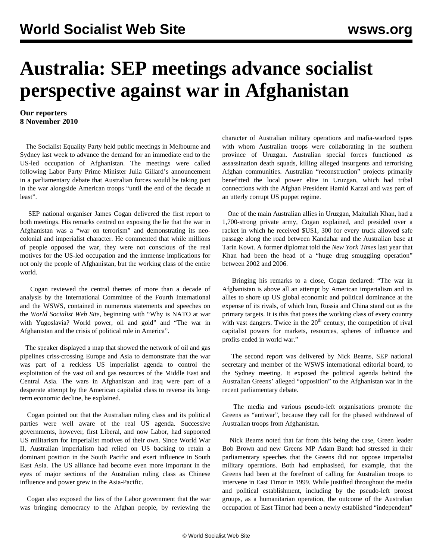## **Australia: SEP meetings advance socialist perspective against war in Afghanistan**

## **Our reporters 8 November 2010**

 The Socialist Equality Party held public meetings in Melbourne and Sydney last week to advance the demand for an immediate end to the US-led occupation of Afghanistan. The meetings were called following Labor Party Prime Minister Julia Gillard's announcement in a parliamentary debate that Australian forces would be taking part in the war alongside American troops "until the end of the decade at least".

 SEP national organiser James Cogan delivered the first report to both meetings. His remarks centred on exposing the lie that the war in Afghanistan was a "war on terrorism" and demonstrating its neocolonial and imperialist character. He commented that while millions of people opposed the war, they were not conscious of the real motives for the US-led occupation and the immense implications for not only the people of Afghanistan, but the working class of the entire world.

 Cogan reviewed the central themes of more than a decade of analysis by the International Committee of the Fourth International and the WSWS, contained in numerous statements and speeches on the *World Socialist Web Site*, beginning with ["Why is NATO at war](/en/articles/1999/may1999/stat-m24.shtml) [with Yugoslavia? World power, oil and gold"](/en/articles/1999/may1999/stat-m24.shtml) and ["The war in](/en/articles/2002/mar2002/lect-m08.shtml) [Afghanistan and the crisis of political rule in America"](/en/articles/2002/mar2002/lect-m08.shtml).

 The speaker displayed a map that showed the network of oil and gas pipelines criss-crossing Europe and Asia to demonstrate that the war was part of a reckless US imperialist agenda to control the exploitation of the vast oil and gas resources of the Middle East and Central Asia. The wars in Afghanistan and Iraq were part of a desperate attempt by the American capitalist class to reverse its longterm economic decline, he explained.

 Cogan pointed out that the Australian ruling class and its political parties were well aware of the real US agenda. Successive governments, however, first Liberal, and now Labor, had supported US militarism for imperialist motives of their own. Since World War II, Australian imperialism had relied on US backing to retain a dominant position in the South Pacific and exert influence in South East Asia. The US alliance had become even more important in the eyes of major sections of the Australian ruling class as Chinese influence and power grew in the Asia-Pacific.

 Cogan also exposed the lies of the Labor government that the war was bringing democracy to the Afghan people, by reviewing the character of Australian military operations and mafia-warlord types with whom Australian troops were collaborating in the southern province of Uruzgan. Australian special forces functioned as assassination death squads, killing alleged insurgents and terrorising Afghan communities. Australian "reconstruction" projects primarily benefitted the local power elite in Uruzgan, which had tribal connections with the Afghan President Hamid Karzai and was part of an utterly corrupt US puppet regime.

 One of the main Australian allies in Uruzgan, Maitullah Khan, had a 1,700-strong private army, Cogan explained, and presided over a racket in which he received \$US1, 300 for every truck allowed safe passage along the road between Kandahar and the Australian base at Tarin Kowt. A former diplomat told the *New York Times* last year that Khan had been the head of a "huge drug smuggling operation" between 2002 and 2006.

 Bringing his remarks to a close, Cogan declared: "The war in Afghanistan is above all an attempt by American imperialism and its allies to shore up US global economic and political dominance at the expense of its rivals, of which Iran, Russia and China stand out as the primary targets. It is this that poses the working class of every country with vast dangers. Twice in the  $20<sup>th</sup>$  century, the competition of rival capitalist powers for markets, resources, spheres of influence and profits ended in world war."

 The second report was delivered by Nick Beams, SEP national secretary and member of the WSWS international editorial board, to the Sydney meeting. It exposed the political agenda behind the Australian Greens' alleged "opposition" to the Afghanistan war in the recent parliamentary debate.

 The media and various pseudo-left organisations promote the Greens as "antiwar", because they call for the phased withdrawal of Australian troops from Afghanistan.

 Nick Beams noted that far from this being the case, Green leader Bob Brown and new Greens MP Adam Bandt had stressed in their parliamentary speeches that the Greens did not oppose imperialist military operations. Both had emphasised, for example, that the Greens had been at the forefront of calling for Australian troops to intervene in East Timor in 1999. While justified throughout the media and political establishment, including by the pseudo-left protest groups, as a humanitarian operation, the outcome of the Australian occupation of East Timor had been a newly established "independent"